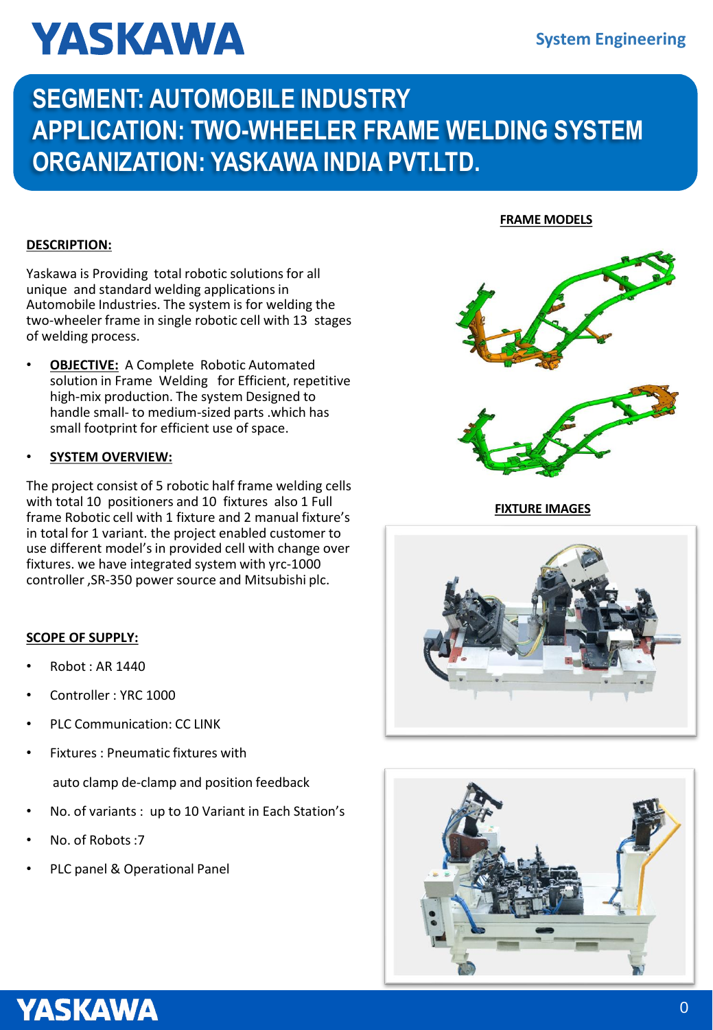# **YASKAWA**

# **SEGMENT: AUTOMOBILE INDUSTRY APPLICATION: TWO-WHEELER FRAME WELDING SYSTEM ORGANIZATION: YASKAWA INDIA PVT.LTD.**

# **DESCRIPTION:**

Yaskawa is Providing total robotic solutions for all unique and standard welding applications in Automobile Industries. The system is for welding the two-wheeler frame in single robotic cell with 13 stages of welding process.

• **OBJECTIVE:** A Complete Robotic Automated solution in Frame Welding for Efficient, repetitive high-mix production. The system Designed to handle small- to medium-sized parts .which has small footprint for efficient use of space.

# • **SYSTEM OVERVIEW:**

The project consist of 5 robotic half frame welding cells with total 10 positioners and 10 fixtures also 1 Full frame Robotic cell with 1 fixture and 2 manual fixture's in total for 1 variant. the project enabled customer to use different model's in provided cell with change over fixtures. we have integrated system with yrc-1000 controller ,SR-350 power source and Mitsubishi plc.

# **SCOPE OF SUPPLY:**

- Robot : AR 1440
- Controller : YRC 1000
- PLC Communication: CC LINK
- Fixtures : Pneumatic fixtures with

auto clamp de-clamp and position feedback

- No. of variants : up to 10 Variant in Each Station's
- No. of Robots :7
- PLC panel & Operational Panel

#### **FRAME MODELS**



**FIXTURE IMAGES**